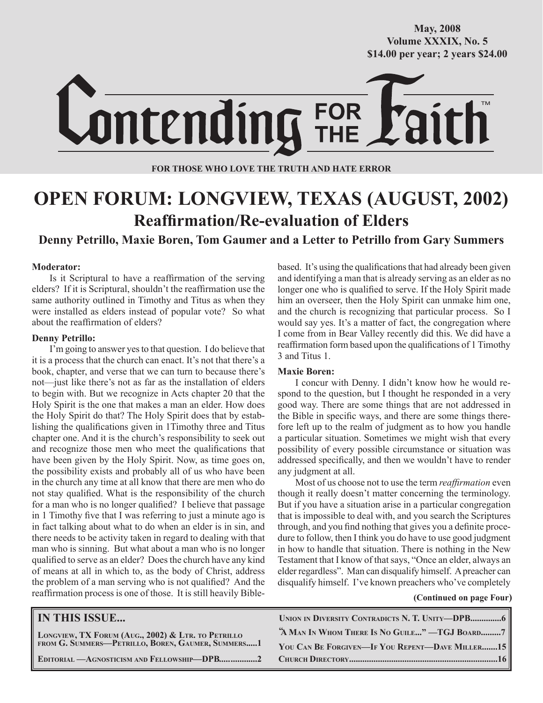**October/2007 Volume XXXIX, No. 5 Volume XXXVIII, No. 10 \$14.00 per year; 2 years \$24.00 \$14.00 per year; 2 years \$24.00 May, 2008**



**FOR THOSE WHO LOVE THE TRUTH AND HATE ERROR**

# **OPEN FORUM: LONGVIEW, TEXAS (AUGUST, 2002) Reaffirmation/Re-evaluation of Elders**

**Denny Petrillo, Maxie Boren, Tom Gaumer and a Letter to Petrillo from Gary Summers** 

#### **Moderator:**

Is it Scriptural to have a reaffirmation of the serving elders? If it is Scriptural, shouldn't the reaffirmation use the same authority outlined in Timothy and Titus as when they were installed as elders instead of popular vote? So what about the reaffirmation of elders?

#### **Denny Petrillo:**

I'm going to answer yes to that question. I do believe that it is a process that the church can enact. It's not that there's a book, chapter, and verse that we can turn to because there's not—just like there's not as far as the installation of elders to begin with. But we recognize in Acts chapter 20 that the Holy Spirit is the one that makes a man an elder. How does the Holy Spirit do that? The Holy Spirit does that by establishing the qualifications given in 1Timothy three and Titus chapter one. And it is the church's responsibility to seek out and recognize those men who meet the qualifications that have been given by the Holy Spirit. Now, as time goes on, the possibility exists and probably all of us who have been in the church any time at all know that there are men who do not stay qualified. What is the responsibility of the church for a man who is no longer qualified? I believe that passage in 1 Timothy five that I was referring to just a minute ago is in fact talking about what to do when an elder is in sin, and there needs to be activity taken in regard to dealing with that man who is sinning. But what about a man who is no longer qualified to serve as an elder? Does the church have any kind of means at all in which to, as the body of Christ, address the problem of a man serving who is not qualified? And the reaffirmation process is one of those. It is still heavily Biblebased. It's using the qualifications that had already been given and identifying a man that is already serving as an elder as no longer one who is qualified to serve. If the Holy Spirit made him an overseer, then the Holy Spirit can unmake him one, and the church is recognizing that particular process. So I would say yes. It's a matter of fact, the congregation where I come from in Bear Valley recently did this. We did have a reaffirmation form based upon the qualifications of 1 Timothy 3 and Titus 1.

#### **Maxie Boren:**

I concur with Denny. I didn't know how he would respond to the question, but I thought he responded in a very good way. There are some things that are not addressed in the Bible in specific ways, and there are some things therefore left up to the realm of judgment as to how you handle a particular situation. Sometimes we might wish that every possibility of every possible circumstance or situation was addressed specifically, and then we wouldn't have to render any judgment at all.

Most of us choose not to use the term *reaffirmation* even though it really doesn't matter concerning the terminology. But if you have a situation arise in a particular congregation that is impossible to deal with, and you search the Scriptures through, and you find nothing that gives you a definite procedure to follow, then I think you do have to use good judgment in how to handle that situation. There is nothing in the New Testament that I know of that says, "Once an elder, always an elder regardless". Man can disqualify himself. A preacher can disqualify himself. I've known preachers who've completely

#### **(Continued on page Four)**

| <b>IN THIS ISSUE</b>                                                                                    |                                                 |
|---------------------------------------------------------------------------------------------------------|-------------------------------------------------|
| LONGVIEW, TX FORUM (AUG., 2002) & LTR. TO PETRILLO<br>FROM G. SUMMERS-PETRILLO, BOREN, GAUMER, SUMMERS1 | "A MAN IN WHOM THERE IS NO GUILE" -TGJ BOARD7   |
|                                                                                                         | YOU CAN BE FORGIVEN-IF YOU REPENT-DAVE MILLER15 |
|                                                                                                         |                                                 |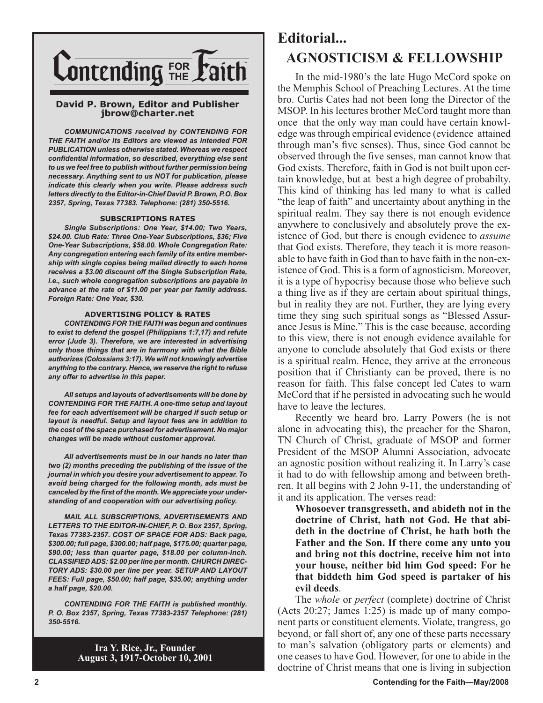

#### **David P. Brown, Editor and Publisher jbrow@charter.net**

*COMMUNICATIONS received by CONTENDING FOR THE FAITH and/or its Editors are viewed as intended FOR PUBLICATION unless otherwise stated. Whereas we respect confidential information, so described, everything else sent to us we feel free to publish without further permission being necessary. Anything sent to us NOT for publication, please indicate this clearly when you write. Please address such letters directly to the Editor-in-Chief David P. Brown, P.O. Box 2357, Spring, Texas 77383. Telephone: (281) 350-5516.*

#### **SUBSCRIPTIONS RATES**

*Single Subscriptions: One Year, \$14.00; Two Years, \$24.00. Club Rate: Three One-Year Subscriptions, \$36; Five One-Year Subscriptions, \$58.00. Whole Congregation Rate: Any congregation entering each family of its entire membership with single copies being mailed directly to each home receives a \$3.00 discount off the Single Subscription Rate, i.e., such whole congregation subscriptions are payable in advance at the rate of \$11.00 per year per family address. Foreign Rate: One Year, \$30.*

#### **ADVERTISING POLICY & RATES**

*CONTENDING FOR THE FAITH was begun and continues to exist to defend the gospel (Philippians 1:7,17) and refute error (Jude 3). Therefore, we are interested in advertising only those things that are in harmony with what the Bible authorizes (Colossians 3:17). We will not knowingly advertise anything to the contrary. Hence, we reserve the right to refuse any offer to advertise in this paper.*

*All setups and layouts of advertisements will be done by CONTENDING FOR THE FAITH. A one-time setup and layout fee for each advertisement will be charged if such setup or layout is needful. Setup and layout fees are in addition to the cost of the space purchased for advertisement. No major changes will be made without customer approval.*

*All advertisements must be in our hands no later than two (2) months preceding the publishing of the issue of the journal in which you desire your advertisement to appear. To avoid being charged for the following month, ads must be canceled by the first of the month. We appreciate your understanding of and cooperation with our advertising policy.*

*MAIL ALL SUBSCRIPTIONS, ADVERTISEMENTS AND LETTERS TO THE EDITOR-IN-CHIEF, P. O. Box 2357, Spring, Texas 77383-2357. COST OF SPACE FOR ADS: Back page, \$300.00; full page, \$300.00; half page, \$175.00; quarter page, \$90.00; less than quarter page, \$18.00 per column-inch. CLASSIFIED ADS: \$2.00 per line per month. CHURCH DIREC-TORY ADS: \$30.00 per line per year. SETUP AND LAYOUT FEES: Full page, \$50.00; half page, \$35.00; anything under a half page, \$20.00.*

*CONTENDING FOR THE FAITH is published monthly. P. O. Box 2357, Spring, Texas 77383-2357 Telephone: (281) 350-5516.*

> **Ira Y. Rice, Jr., Founder August 3, 1917-October 10, 2001**

## **Editorial... AGNOSTICISM & FELLOWSHIP**

In the mid-1980's the late Hugo McCord spoke on the Memphis School of Preaching Lectures. At the time bro. Curtis Cates had not been long the Director of the MSOP. In his lectures brother McCord taught more than once that the only way man could have certain knowledge was through empirical evidence (evidence attained through man's five senses). Thus, since God cannot be observed through the five senses, man cannot know that God exists. Therefore, faith in God is not built upon certain knowledge, but at best a high degree of probabilty. This kind of thinking has led many to what is called "the leap of faith" and uncertainty about anything in the spiritual realm. They say there is not enough evidence anywhere to conclusively and absolutely prove the existence of God, but there is enough evidence to *assume* that God exists. Therefore, they teach it is more reasonable to have faith in God than to have faith in the non-existence of God. This is a form of agnosticism. Moreover, it is a type of hypocrisy because those who believe such a thing live as if they are certain about spiritual things, but in reality they are not. Further, they are lying every time they sing such spiritual songs as "Blessed Assurance Jesus is Mine." This is the case because, according to this view, there is not enough evidence available for anyone to conclude absolutely that God exists or there is a spiritual realm. Hence, they arrive at the erroneous position that if Christianty can be proved, there is no reason for faith. This false concept led Cates to warn McCord that if he persisted in advocating such he would have to leave the lectures.

Recently we heard bro. Larry Powers (he is not alone in advocating this), the preacher for the Sharon, TN Church of Christ, graduate of MSOP and former President of the MSOP Alumni Association, advocate an agnostic position without realizing it. In Larry's case it had to do with fellowship among and between brethren. It all begins with 2 John 9-11, the understanding of it and its application. The verses read:

**Whosoever transgresseth, and abideth not in the doctrine of Christ, hath not God. He that abideth in the doctrine of Christ, he hath both the Father and the Son. If there come any unto you and bring not this doctrine, receive him not into your house, neither bid him God speed: For he that biddeth him God speed is partaker of his evil deeds**.

The *whole* or *perfect* (complete) doctrine of Christ (Acts 20:27; James 1:25) is made up of many component parts or constituent elements. Violate, trangress, go beyond, or fall short of, any one of these parts necessary to man's salvation (obligatory parts or elements) and one ceases to have God. However, for one to abide in the doctrine of Christ means that one is living in subjection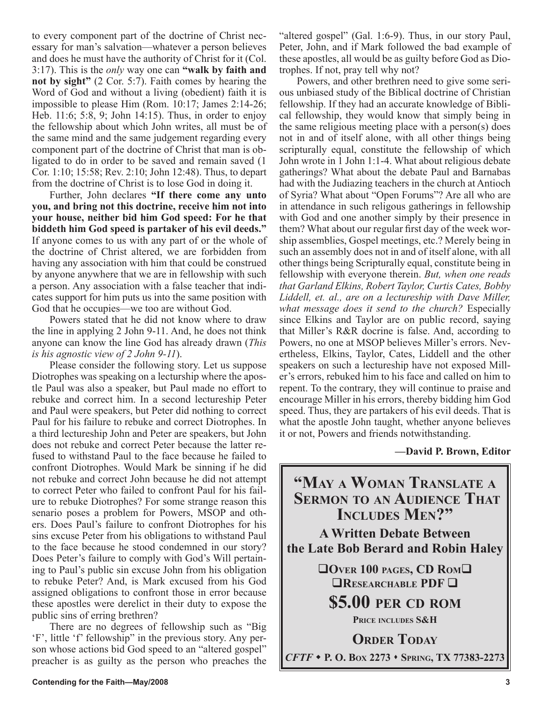to every component part of the doctrine of Christ necessary for man's salvation—whatever a person believes and does he must have the authority of Christ for it (Col. 3:17). This is the *only* way one can **"walk by faith and not by sight"** (2 Cor. 5:7). Faith comes by hearing the Word of God and without a living (obedient) faith it is impossible to please Him (Rom. 10:17; James 2:14-26; Heb. 11:6; 5:8, 9; John 14:15). Thus, in order to enjoy the fellowship about which John writes, all must be of the same mind and the same judgement regarding every component part of the doctrine of Christ that man is obligated to do in order to be saved and remain saved (1 Cor. 1:10; 15:58; Rev. 2:10; John 12:48). Thus, to depart from the doctrine of Christ is to lose God in doing it.

Further, John declares **"If there come any unto you, and bring not this doctrine, receive him not into your house, neither bid him God speed: For he that biddeth him God speed is partaker of his evil deeds."** If anyone comes to us with any part of or the whole of the doctrine of Christ altered, we are forbidden from having any association with him that could be construed by anyone anywhere that we are in fellowship with such a person. Any association with a false teacher that indicates support for him puts us into the same position with God that he occupies—we too are without God.

Powers stated that he did not know where to draw the line in applying 2 John 9-11. And, he does not think anyone can know the line God has already drawn (*This is his agnostic view of 2 John 9-11*).

Please consider the following story. Let us suppose Diotrophes was speaking on a lecturship where the apostle Paul was also a speaker, but Paul made no effort to rebuke and correct him. In a second lectureship Peter and Paul were speakers, but Peter did nothing to correct Paul for his failure to rebuke and correct Diotrophes. In a third lectureship John and Peter are speakers, but John does not rebuke and correct Peter because the latter refused to withstand Paul to the face because he failed to confront Diotrophes. Would Mark be sinning if he did not rebuke and correct John because he did not attempt to correct Peter who failed to confront Paul for his failure to rebuke Diotrophes? For some strange reason this senario poses a problem for Powers, MSOP and others. Does Paul's failure to confront Diotrophes for his sins excuse Peter from his obligations to withstand Paul to the face because he stood condemned in our story? Does Peter's failure to comply with God's Will pertaining to Paul's public sin excuse John from his obligation to rebuke Peter? And, is Mark excused from his God assigned obligations to confront those in error because these apostles were derelict in their duty to expose the public sins of erring brethren?

There are no degrees of fellowship such as "Big 'F', little 'f' fellowship" in the previous story. Any person whose actions bid God speed to an "altered gospel" preacher is as guilty as the person who preaches the "altered gospel" (Gal. 1:6-9). Thus, in our story Paul, Peter, John, and if Mark followed the bad example of these apostles, all would be as guilty before God as Diotrophes. If not, pray tell why not?

Powers, and other brethren need to give some serious unbiased study of the Biblical doctrine of Christian fellowship. If they had an accurate knowledge of Biblical fellowship, they would know that simply being in the same religious meeting place with a person(s) does not in and of itself alone, with all other things being scripturally equal, constitute the fellowship of which John wrote in 1 John 1:1-4. What about religious debate gatherings? What about the debate Paul and Barnabas had with the Judiazing teachers in the church at Antioch of Syria? What about "Open Forums"? Are all who are in attendance in such religous gatherings in fellowship with God and one another simply by their presence in them? What about our regular first day of the week worship assemblies, Gospel meetings, etc.? Merely being in such an assembly does not in and of itself alone, with all other things being Scripturally equal, constitute being in fellowship with everyone therein. *But, when one reads that Garland Elkins, Robert Taylor, Curtis Cates, Bobby*  Liddell, et. al., are on a lectureship with Dave Miller, *what message does it send to the church?* Especially since Elkins and Taylor are on public record, saying that Miller's R&R docrine is false. And, according to Powers, no one at MSOP believes Miller's errors. Nevertheless, Elkins, Taylor, Cates, Liddell and the other speakers on such a lectureship have not exposed Miller's errors, rebuked him to his face and called on him to repent. To the contrary, they will continue to praise and encourage Miller in his errors, thereby bidding him God speed. Thus, they are partakers of his evil deeds. That is what the apostle John taught, whether anyone believes it or not, Powers and friends notwithstanding.

#### **—David P. Brown, Editor**

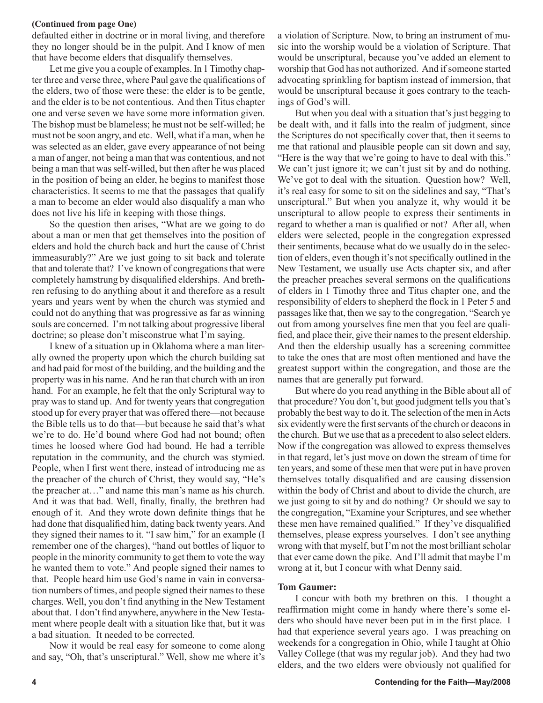#### **(Continued from page One)**

defaulted either in doctrine or in moral living, and therefore they no longer should be in the pulpit. And I know of men that have become elders that disqualify themselves.

Let me give you a couple of examples. In 1 Timothy chapter three and verse three, where Paul gave the qualifications of the elders, two of those were these: the elder is to be gentle, and the elder is to be not contentious. And then Titus chapter one and verse seven we have some more information given. The bishop must be blameless; he must not be self-willed; he must not be soon angry, and etc. Well, what if a man, when he was selected as an elder, gave every appearance of not being a man of anger, not being a man that was contentious, and not being a man that was self-willed, but then after he was placed in the position of being an elder, he begins to manifest those characteristics. It seems to me that the passages that qualify a man to become an elder would also disqualify a man who does not live his life in keeping with those things.

So the question then arises, "What are we going to do about a man or men that get themselves into the position of elders and hold the church back and hurt the cause of Christ immeasurably?" Are we just going to sit back and tolerate that and tolerate that? I've known of congregations that were completely hamstrung by disqualified elderships. And brethren refusing to do anything about it and therefore as a result years and years went by when the church was stymied and could not do anything that was progressive as far as winning souls are concerned. I'm not talking about progressive liberal doctrine; so please don't misconstrue what I'm saying.

I knew of a situation up in Oklahoma where a man literally owned the property upon which the church building sat and had paid for most of the building, and the building and the property was in his name. And he ran that church with an iron hand. For an example, he felt that the only Scriptural way to pray was to stand up. And for twenty years that congregation stood up for every prayer that was offered there—not because the Bible tells us to do that—but because he said that's what we're to do. He'd bound where God had not bound; often times he loosed where God had bound. He had a terrible reputation in the community, and the church was stymied. People, when I first went there, instead of introducing me as the preacher of the church of Christ, they would say, "He's the preacher at…" and name this man's name as his church. And it was that bad. Well, finally, finally, the brethren had enough of it. And they wrote down definite things that he had done that disqualified him, dating back twenty years. And they signed their names to it. "I saw him," for an example (I remember one of the charges), "hand out bottles of liquor to people in the minority community to get them to vote the way he wanted them to vote." And people signed their names to that. People heard him use God's name in vain in conversation numbers of times, and people signed their names to these charges. Well, you don't find anything in the New Testament about that. I don't find anywhere, anywhere in the New Testament where people dealt with a situation like that, but it was a bad situation. It needed to be corrected.

Now it would be real easy for someone to come along and say, "Oh, that's unscriptural." Well, show me where it's a violation of Scripture. Now, to bring an instrument of music into the worship would be a violation of Scripture. That would be unscriptural, because you've added an element to worship that God has not authorized. And if someone started advocating sprinkling for baptism instead of immersion, that would be unscriptural because it goes contrary to the teachings of God's will.

But when you deal with a situation that's just begging to be dealt with, and it falls into the realm of judgment, since the Scriptures do not specifically cover that, then it seems to me that rational and plausible people can sit down and say, "Here is the way that we're going to have to deal with this." We can't just ignore it; we can't just sit by and do nothing. We've got to deal with the situation. Question how? Well, it's real easy for some to sit on the sidelines and say, "That's unscriptural." But when you analyze it, why would it be unscriptural to allow people to express their sentiments in regard to whether a man is qualified or not? After all, when elders were selected, people in the congregation expressed their sentiments, because what do we usually do in the selection of elders, even though it's not specifically outlined in the New Testament, we usually use Acts chapter six, and after the preacher preaches several sermons on the qualifications of elders in 1 Timothy three and Titus chapter one, and the responsibility of elders to shepherd the flock in 1 Peter 5 and passages like that, then we say to the congregation, "Search ye out from among yourselves fine men that you feel are qualified, and place their, give their names to the present eldership. And then the eldership usually has a screening committee to take the ones that are most often mentioned and have the greatest support within the congregation, and those are the names that are generally put forward.

But where do you read anything in the Bible about all of that procedure? You don't, but good judgment tells you that's probably the best way to do it. The selection of the men in Acts six evidently were the first servants of the church or deacons in the church. But we use that as a precedent to also select elders. Now if the congregation was allowed to express themselves in that regard, let's just move on down the stream of time for ten years, and some of these men that were put in have proven themselves totally disqualified and are causing dissension within the body of Christ and about to divide the church, are we just going to sit by and do nothing? Or should we say to the congregation, "Examine your Scriptures, and see whether these men have remained qualified." If they've disqualified themselves, please express yourselves. I don't see anything wrong with that myself, but I'm not the most brilliant scholar that ever came down the pike. And I'll admit that maybe I'm wrong at it, but I concur with what Denny said.

#### **Tom Gaumer:**

I concur with both my brethren on this. I thought a reaffirmation might come in handy where there's some elders who should have never been put in in the first place. I had that experience several years ago. I was preaching on weekends for a congregation in Ohio, while I taught at Ohio Valley College (that was my regular job). And they had two elders, and the two elders were obviously not qualified for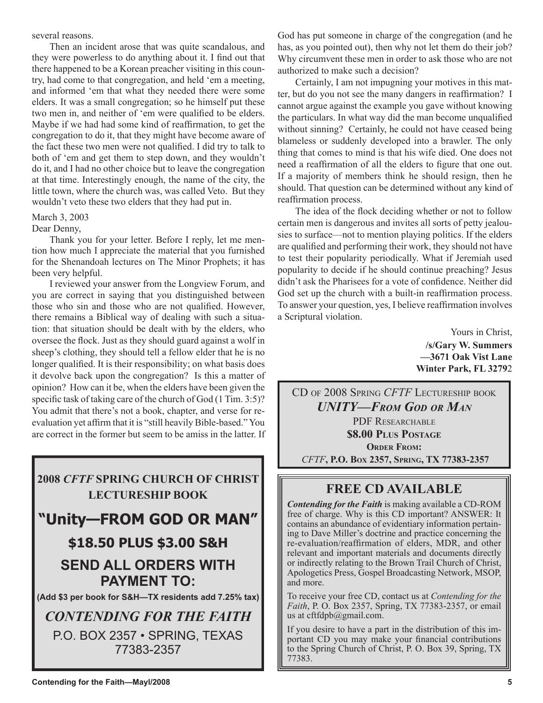several reasons.

Then an incident arose that was quite scandalous, and they were powerless to do anything about it. I find out that there happened to be a Korean preacher visiting in this country, had come to that congregation, and held 'em a meeting, and informed 'em that what they needed there were some elders. It was a small congregation; so he himself put these two men in, and neither of 'em were qualified to be elders. Maybe if we had had some kind of reaffirmation, to get the congregation to do it, that they might have become aware of the fact these two men were not qualified. I did try to talk to both of 'em and get them to step down, and they wouldn't do it, and I had no other choice but to leave the congregation at that time. Interestingly enough, the name of the city, the little town, where the church was, was called Veto. But they wouldn't veto these two elders that they had put in.

## March 3, 2003

#### Dear Denny,

Thank you for your letter. Before I reply, let me mention how much I appreciate the material that you furnished for the Shenandoah lectures on The Minor Prophets; it has been very helpful.

I reviewed your answer from the Longview Forum, and you are correct in saying that you distinguished between those who sin and those who are not qualified. However, there remains a Biblical way of dealing with such a situation: that situation should be dealt with by the elders, who oversee the flock. Just as they should guard against a wolf in sheep's clothing, they should tell a fellow elder that he is no longer qualified. It is their responsibility; on what basis does it devolve back upon the congregation? Is this a matter of opinion? How can it be, when the elders have been given the specific task of taking care of the church of God (1 Tim. 3:5)? You admit that there's not a book, chapter, and verse for reevaluation yet affirm that it is "still heavily Bible-based." You are correct in the former but seem to be amiss in the latter. If



God has put someone in charge of the congregation (and he has, as you pointed out), then why not let them do their job? Why circumvent these men in order to ask those who are not authorized to make such a decision?

Certainly, I am not impugning your motives in this matter, but do you not see the many dangers in reaffirmation? I cannot argue against the example you gave without knowing the particulars. In what way did the man become unqualified without sinning? Certainly, he could not have ceased being blameless or suddenly developed into a brawler. The only thing that comes to mind is that his wife died. One does not need a reaffirmation of all the elders to figure that one out. If a majority of members think he should resign, then he should. That question can be determined without any kind of reaffirmation process.

The idea of the flock deciding whether or not to follow certain men is dangerous and invites all sorts of petty jealousies to surface—not to mention playing politics. If the elders are qualified and performing their work, they should not have to test their popularity periodically. What if Jeremiah used popularity to decide if he should continue preaching? Jesus didn't ask the Pharisees for a vote of confidence. Neither did God set up the church with a built-in reaffirmation process. To answer your question, yes, I believe reaffirmation involves a Scriptural violation.

> Yours in Christ, **/s/Gary W. Summers —3671 Oak Vist Lane Winter Park, FL 3279**2

CD OF 2008 SPRING *CFTF* LECTURESHIP BOOK *UNITY—FROM GOD OR MAN* PDF RESEARCHABLE **\$8.00 PLUS POSTAGE ORDER FROM:**  *CFTF***, P.O. BOX 2357, SPRING, TX 77383-2357**

## **FREE CD AVAILABLE**

*Contending for the Faith* is making available a CD-ROM free of charge. Why is this CD important? ANSWER: It contains an abundance of evidentiary information pertaining to Dave Miller's doctrine and practice concerning the re-evaluation/reaffirmation of elders, MDR, and other relevant and important materials and documents directly or indirectly relating to the Brown Trail Church of Christ, Apologetics Press, Gospel Broadcasting Network, MSOP, and more.

To receive your free CD, contact us at *Contending for the Faith*, P. O. Box 2357, Spring, TX 77383-2357, or email us at  $cftfdpb@gmail.com$ .

If you desire to have a part in the distribution of this important CD you may make your financial contributions to the Spring Church of Christ, P. O. Box 39, Spring, TX 77383.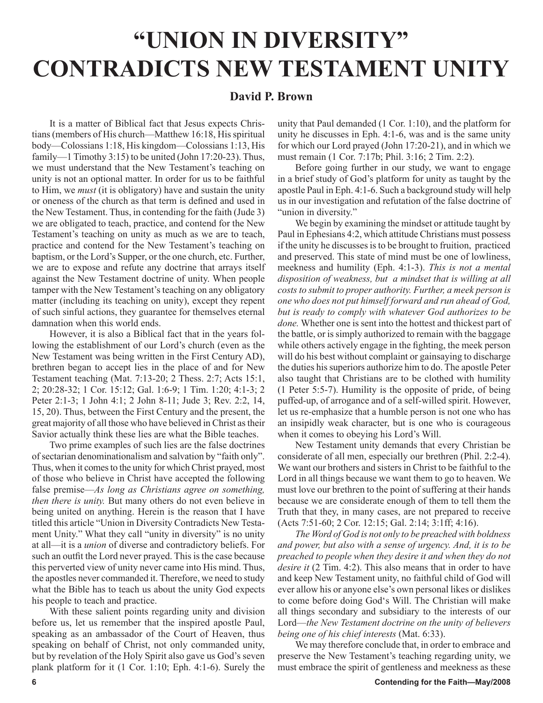# **"UNION IN DIVERSITY" CONTRADICTS NEW TESTAMENT UNITY**

#### **David P. Brown**

It is a matter of Biblical fact that Jesus expects Christians (members of His church—Matthew 16:18, His spiritual body—Colossians 1:18, His kingdom—Colossians 1:13, His family—1 Timothy 3:15) to be united (John 17:20-23). Thus, we must understand that the New Testament's teaching on unity is not an optional matter. In order for us to be faithful to Him, we *must* (it is obligatory) have and sustain the unity or oneness of the church as that term is defined and used in the New Testament. Thus, in contending for the faith (Jude 3) we are obligated to teach, practice, and contend for the New Testament's teaching on unity as much as we are to teach, practice and contend for the New Testament's teaching on baptism, or the Lord's Supper, or the one church, etc. Further, we are to expose and refute any doctrine that arrays itself against the New Testament doctrine of unity. When people tamper with the New Testament's teaching on any obligatory matter (including its teaching on unity), except they repent of such sinful actions, they guarantee for themselves eternal damnation when this world ends.

However, it is also a Biblical fact that in the years following the establishment of our Lord's church (even as the New Testament was being written in the First Century AD), brethren began to accept lies in the place of and for New Testament teaching (Mat. 7:13-20; 2 Thess. 2:7; Acts 15:1, 2; 20:28-32; 1 Cor. 15:12; Gal. 1:6-9; 1 Tim. 1:20; 4:1-3; 2 Peter 2:1-3; 1 John 4:1; 2 John 8-11; Jude 3; Rev. 2:2, 14, 15, 20). Thus, between the First Century and the present, the great majority of all those who have believed in Christ as their Savior actually think these lies are what the Bible teaches.

Two prime examples of such lies are the false doctrines of sectarian denominationalism and salvation by "faith only". Thus, when it comes to the unity for which Christ prayed, most of those who believe in Christ have accepted the following false premise—*As long as Christians agree on something, then there is unity.* But many others do not even believe in being united on anything. Herein is the reason that I have titled this article "Union in Diversity Contradicts New Testament Unity." What they call "unity in diversity" is no unity at all—it is a *union* of diverse and contradictory beliefs. For such an outfit the Lord never prayed. This is the case because this perverted view of unity never came into His mind. Thus, the apostles never commanded it. Therefore, we need to study what the Bible has to teach us about the unity God expects his people to teach and practice.

With these salient points regarding unity and division before us, let us remember that the inspired apostle Paul, speaking as an ambassador of the Court of Heaven, thus speaking on behalf of Christ, not only commanded unity, but by revelation of the Holy Spirit also gave us God's seven plank platform for it (1 Cor. 1:10; Eph. 4:1-6). Surely the unity that Paul demanded (1 Cor. 1:10), and the platform for unity he discusses in Eph. 4:1-6, was and is the same unity for which our Lord prayed (John 17:20-21), and in which we must remain (1 Cor. 7:17b; Phil. 3:16; 2 Tim. 2:2).

Before going further in our study, we want to engage in a brief study of God's platform for unity as taught by the apostle Paul in Eph. 4:1-6. Such a background study will help us in our investigation and refutation of the false doctrine of "union in diversity."

We begin by examining the mindset or attitude taught by Paul in Ephesians 4:2, which attitude Christians must possess if the unity he discusses is to be brought to fruition, practiced and preserved. This state of mind must be one of lowliness, meekness and humility (Eph. 4:1-3). *This is not a mental disposition of weakness, but a mindset that is willing at all costs to submit to proper authority. Further, a meek person is one who does not put himself forward and run ahead of God, but is ready to comply with whatever God authorizes to be done.* Whether one is sent into the hottest and thickest part of the battle, or is simply authorized to remain with the baggage while others actively engage in the fighting, the meek person will do his best without complaint or gainsaying to discharge the duties his superiors authorize him to do. The apostle Peter also taught that Christians are to be clothed with humility (1 Peter 5:5-7). Humility is the opposite of pride, of being puffed-up, of arrogance and of a self-willed spirit. However, let us re-emphasize that a humble person is not one who has an insipidly weak character, but is one who is courageous when it comes to obeying his Lord's Will.

New Testament unity demands that every Christian be considerate of all men, especially our brethren (Phil. 2:2-4). We want our brothers and sisters in Christ to be faithful to the Lord in all things because we want them to go to heaven. We must love our brethren to the point of suffering at their hands because we are considerate enough of them to tell them the Truth that they, in many cases, are not prepared to receive (Acts 7:51-60; 2 Cor. 12:15; Gal. 2:14; 3:1ff; 4:16).

*The Word of God is not only to be preached with boldness and power, but also with a sense of urgency. And, it is to be preached to people when they desire it and when they do not desire it* (2 Tim. 4:2). This also means that in order to have and keep New Testament unity, no faithful child of God will ever allow his or anyone else's own personal likes or dislikes to come before doing God's Will. The Christian will make all things secondary and subsidiary to the interests of our Lord—*the New Testament doctrine on the unity of believers being one of his chief interests* (Mat. 6:33).

We may therefore conclude that, in order to embrace and preserve the New Testament's teaching regarding unity, we must embrace the spirit of gentleness and meekness as these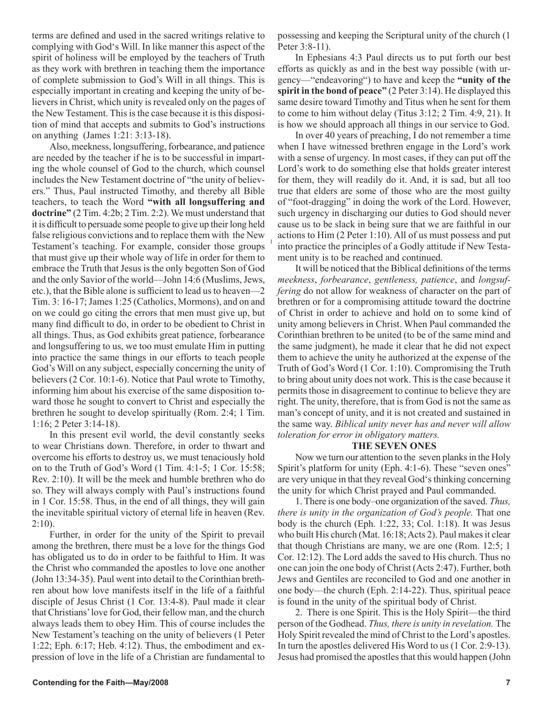terms are defined and used in the sacred writings relative to complying with God's Will. In like manner this aspect of the spirit of holiness will be employed by the teachers of Truth as they work with brethren in teaching them the importance of complete submission to God's Will in all things. This is especially important in creating and keeping the unity of believers in Christ, which unity is revealed only on the pages of the New Testament. This is the case because it is this disposition of mind that accepts and submits to God's instructions on anything (James 1:21: 3:13-18).

Also, meekness, longsuffering, forbearance, and patience are needed by the teacher if he is to be successful in imparting the whole counsel of God to the church, which counsel includes the New Testament doctrine of "the unity of believers." Thus, Paul instructed Timothy, and thereby all Bible teachers, to teach the Word **"with all longsuffering and doctrine"** (2 Tim. 4:2b; 2 Tim. 2:2). We must understand that it is difficult to persuade some people to give up their long held false religious convictions and to replace them with the New Testament's teaching. For example, consider those groups that must give up their whole way of life in order for them to embrace the Truth that Jesus is the only begotten Son of God and the only Savior of the world—John 14:6 (Muslims, Jews, etc.), that the Bible alone is sufficient to lead us to heaven—2 Tim. 3: 16-17; James 1:25 (Catholics, Mormons), and on and on we could go citing the errors that men must give up, but many find difficult to do, in order to be obedient to Christ in all things. Thus, as God exhibits great patience, forbearance and longsuffering to us, we too must emulate Him in putting into practice the same things in our efforts to teach people God's Will on any subject, especially concerning the unity of believers (2 Cor. 10:1-6). Notice that Paul wrote to Timothy, informing him about his exercise of the same disposition toward those he sought to convert to Christ and especially the brethren he sought to develop spiritually (Rom. 2:4; 1 Tim. 1:16; 2 Peter 3:14-18).

In this present evil world, the devil constantly seeks to wear Christians down. Therefore, in order to thwart and overcome his efforts to destroy us, we must tenaciously hold on to the Truth of God's Word (1 Tim. 4:1-5; 1 Cor. 15:58; Rev. 2:10). It will be the meek and humble brethren who do so. They will always comply with Paul's instructions found in 1 Cor. 15:58. Thus, in the end of all things, they will gain the inevitable spiritual victory of eternal life in heaven (Rev.  $2:10$ ).

Further, in order for the unity of the Spirit to prevail among the brethren, there must be a love for the things God has obligated us to do in order to be faithful to Him. It was the Christ who commanded the apostles to love one another (John 13:34-35). Paul went into detail to the Corinthian brethren about how love manifests itself in the life of a faithful disciple of Jesus Christ (1 Cor. 13:4-8). Paul made it clear that Christians' love for God, their fellow man, and the church always leads them to obey Him. This of course includes the New Testament's teaching on the unity of believers (1 Peter 1:22; Eph. 6:17; Heb. 4:12). Thus, the embodiment and expression of love in the life of a Christian are fundamental to

possessing and keeping the Scriptural unity of the church (1 Peter 3:8-11).

In Ephesians 4:3 Paul directs us to put forth our best efforts as quickly as and in the best way possible (with urgency—"endeavoring") to have and keep the **"unity of the spirit in the bond of peace"** (2 Peter 3:14). He displayed this same desire toward Timothy and Titus when he sent for them to come to him without delay (Titus 3:12; 2 Tim. 4:9, 21). It is how we should approach all things in our service to God.

In over 40 years of preaching, I do not remember a time when I have witnessed brethren engage in the Lord's work with a sense of urgency. In most cases, if they can put off the Lord's work to do something else that holds greater interest for them, they will readily do it. And, it is sad, but all too true that elders are some of those who are the most guilty of "foot-dragging" in doing the work of the Lord. However, such urgency in discharging our duties to God should never cause us to be slack in being sure that we are faithful in our actions to Him (2 Peter 1:10). All of us must possess and put into practice the principles of a Godly attitude if New Testament unity is to be reached and continued.

It will be noticed that the Biblical definitions of the terms *meekness*, *forbearance*, *gentleness, patience*, and *longsuffering* do not allow for weakness of character on the part of brethren or for a compromising attitude toward the doctrine of Christ in order to achieve and hold on to some kind of unity among believers in Christ. When Paul commanded the Corinthian brethren to be united (to be of the same mind and the same judgment), he made it clear that he did not expect them to achieve the unity he authorized at the expense of the Truth of God's Word (1 Cor. 1:10). Compromising the Truth to bring about unity does not work. This is the case because it permits those in disagreement to continue to believe they are right. The unity, therefore, that is from God is not the same as man's concept of unity, and it is not created and sustained in the same way. *Biblical unity never has and never will allow toleration for error in obligatory matters.*

#### **THE SEVEN ONES**

Now we turn our attention to the seven planks in the Holy Spirit's platform for unity (Eph. 4:1-6). These "seven ones" are very unique in that they reveal God's thinking concerning the unity for which Christ prayed and Paul commanded.

1. There is one body–one organization of the saved. *Thus, there is unity in the organization of God's people.* That one body is the church (Eph. 1:22, 33; Col. 1:18). It was Jesus who built His church (Mat. 16:18; Acts 2). Paul makes it clear that though Christians are many, we are one (Rom. 12:5; 1 Cor. 12:12). The Lord adds the saved to His church. Thus no one can join the one body of Christ (Acts 2:47). Further, both Jews and Gentiles are reconciled to God and one another in one body—the church (Eph. 2:14-22). Thus, spiritual peace is found in the unity of the spiritual body of Christ.

2. There is one Spirit. This is the Holy Spirit—the third person of the Godhead. *Thus, there is unity in revelation.* The Holy Spirit revealed the mind of Christ to the Lord's apostles. In turn the apostles delivered His Word to us (1 Cor. 2:9-13). Jesus had promised the apostles that this would happen (John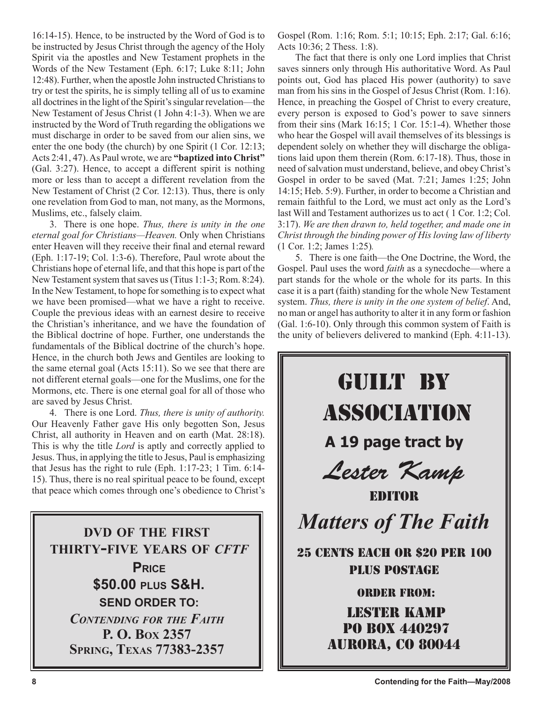16:14-15). Hence, to be instructed by the Word of God is to be instructed by Jesus Christ through the agency of the Holy Spirit via the apostles and New Testament prophets in the Words of the New Testament (Eph. 6:17; Luke 8:11; John 12:48). Further, when the apostle John instructed Christians to try or test the spirits, he is simply telling all of us to examine all doctrines in the light of the Spirit's singular revelation—the New Testament of Jesus Christ (1 John 4:1-3). When we are instructed by the Word of Truth regarding the obligations we must discharge in order to be saved from our alien sins, we enter the one body (the church) by one Spirit (1 Cor. 12:13; Acts 2:41, 47). As Paul wrote, we are **"baptized into Christ"** (Gal. 3:27). Hence, to accept a different spirit is nothing more or less than to accept a different revelation from the New Testament of Christ (2 Cor. 12:13). Thus, there is only one revelation from God to man, not many, as the Mormons, Muslims, etc., falsely claim.

3. There is one hope. *Thus, there is unity in the one eternal goal for Christians—Heaven.* Only when Christians enter Heaven will they receive their final and eternal reward (Eph. 1:17-19; Col. 1:3-6). Therefore, Paul wrote about the Christians hope of eternal life, and that this hope is part of the New Testament system that saves us (Titus 1:1-3; Rom. 8:24). In the New Testament, to hope for something is to expect what we have been promised—what we have a right to receive. Couple the previous ideas with an earnest desire to receive the Christian's inheritance, and we have the foundation of the Biblical doctrine of hope. Further, one understands the fundamentals of the Biblical doctrine of the church's hope. Hence, in the church both Jews and Gentiles are looking to the same eternal goal (Acts 15:11). So we see that there are not different eternal goals—one for the Muslims, one for the Mormons, etc. There is one eternal goal for all of those who are saved by Jesus Christ.

4. There is one Lord. *Thus, there is unity of authority.*  Our Heavenly Father gave His only begotten Son, Jesus Christ, all authority in Heaven and on earth (Mat. 28:18). This is why the title *Lord* is aptly and correctly applied to Jesus. Thus, in applying the title to Jesus, Paul is emphasizing that Jesus has the right to rule (Eph. 1:17-23; 1 Tim. 6:14- 15). Thus, there is no real spiritual peace to be found, except that peace which comes through one's obedience to Christ's

**DVD OF THE FIRST THIRTY-FIVE YEARS OF** *CFTF* **PRICE \$50.00 PLUS S&H. SEND ORDER TO:** *CONTENDING FOR THE FAITH* **P. O. BOX 2357 SPRING, TEXAS 77383-2357**

Gospel (Rom. 1:16; Rom. 5:1; 10:15; Eph. 2:17; Gal. 6:16; Acts 10:36; 2 Thess. 1:8).

The fact that there is only one Lord implies that Christ saves sinners only through His authoritative Word. As Paul points out, God has placed His power (authority) to save man from his sins in the Gospel of Jesus Christ (Rom. 1:16). Hence, in preaching the Gospel of Christ to every creature, every person is exposed to God's power to save sinners from their sins (Mark 16:15; 1 Cor. 15:1-4). Whether those who hear the Gospel will avail themselves of its blessings is dependent solely on whether they will discharge the obligations laid upon them therein (Rom. 6:17-18). Thus, those in need of salvation must understand, believe, and obey Christ's Gospel in order to be saved (Mat. 7:21; James 1:25; John 14:15; Heb. 5:9). Further, in order to become a Christian and remain faithful to the Lord, we must act only as the Lord's last Will and Testament authorizes us to act ( 1 Cor. 1:2; Col. 3:17). *We are then drawn to, held together, and made one in Christ through the binding power of His loving law of liberty*  (1 Cor. 1:2; James 1:25)*.* 

5. There is one faith—the One Doctrine, the Word, the Gospel. Paul uses the word *faith* as a synecdoche—where a part stands for the whole or the whole for its parts. In this case it is a part (faith) standing for the whole New Testament system. *Thus, there is unity in the one system of belief*. And, no man or angel has authority to alter it in any form or fashion (Gal. 1:6-10). Only through this common system of Faith is the unity of believers delivered to mankind (Eph. 4:11-13).

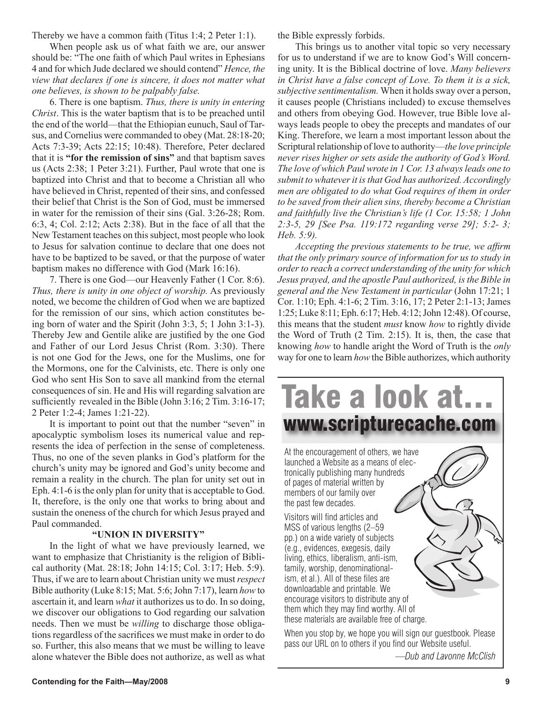Thereby we have a common faith (Titus 1:4; 2 Peter 1:1).

When people ask us of what faith we are, our answer should be: "The one faith of which Paul writes in Ephesians 4 and for which Jude declared we should contend" *Hence, the view that declares if one is sincere, it does not matter what one believes, is shown to be palpably false.* 

6. There is one baptism. *Thus, there is unity in entering Christ*. This is the water baptism that is to be preached until the end of the world—that the Ethiopian eunuch, Saul of Tarsus, and Cornelius were commanded to obey (Mat. 28:18-20; Acts 7:3-39; Acts 22:15; 10:48). Therefore, Peter declared that it is **"for the remission of sins"** and that baptism saves us (Acts 2:38; 1 Peter 3:21). Further, Paul wrote that one is baptized into Christ and that to become a Christian all who have believed in Christ, repented of their sins, and confessed their belief that Christ is the Son of God, must be immersed in water for the remission of their sins (Gal. 3:26-28; Rom. 6:3, 4; Col. 2:12; Acts 2:38). But in the face of all that the New Testament teaches on this subject, most people who look to Jesus for salvation continue to declare that one does not have to be baptized to be saved, or that the purpose of water baptism makes no difference with God (Mark 16:16).

7. There is one God—our Heavenly Father (1 Cor. 8:6). *Thus, there is unity in one object of worship.* As previously noted, we become the children of God when we are baptized for the remission of our sins, which action constitutes being born of water and the Spirit (John 3:3, 5; 1 John 3:1-3). Thereby Jew and Gentile alike are justified by the one God and Father of our Lord Jesus Christ (Rom. 3:30). There is not one God for the Jews, one for the Muslims, one for the Mormons, one for the Calvinists, etc. There is only one God who sent His Son to save all mankind from the eternal consequences of sin. He and His will regarding salvation are sufficiently revealed in the Bible (John 3:16; 2 Tim. 3:16-17; 2 Peter 1:2-4; James 1:21-22).

It is important to point out that the number "seven" in apocalyptic symbolism loses its numerical value and represents the idea of perfection in the sense of completeness. Thus, no one of the seven planks in God's platform for the church's unity may be ignored and God's unity become and remain a reality in the church. The plan for unity set out in Eph. 4:1-6 is the only plan for unity that is acceptable to God. It, therefore, is the only one that works to bring about and sustain the oneness of the church for which Jesus prayed and Paul commanded.

#### **"UNION IN DIVERSITY"**

In the light of what we have previously learned, we want to emphasize that Christianity is the religion of Biblical authority (Mat. 28:18; John 14:15; Col. 3:17; Heb. 5:9). Thus, if we are to learn about Christian unity we must *respect* Bible authority (Luke 8:15; Mat. 5:6; John 7:17), learn *how* to ascertain it, and learn *what* it authorizes us to do. In so doing, we discover our obligations to God regarding our salvation needs. Then we must be *willing* to discharge those obligations regardless of the sacrifices we must make in order to do so. Further, this also means that we must be willing to leave alone whatever the Bible does not authorize, as well as what the Bible expressly forbids.

This brings us to another vital topic so very necessary for us to understand if we are to know God's Will concerning unity. It is the Biblical doctrine of love. *Many believers in Christ have a false concept of Love. To them it is a sick, subjective sentimentalism.* When it holds sway over a person, it causes people (Christians included) to excuse themselves and others from obeying God. However, true Bible love always leads people to obey the precepts and mandates of our King. Therefore, we learn a most important lesson about the Scriptural relationship of love to authority—*the love principle never rises higher or sets aside the authority of God's Word. The love of which Paul wrote in 1 Cor. 13 always leads one to submit to whatever it is that God has authorized. Accordingly men are obligated to do what God requires of them in order to be saved from their alien sins, thereby become a Christian and faithfully live the Christian's life (1 Cor. 15:58; 1 John 2:3-5, 29 [See Psa. 119:172 regarding verse 29]; 5:2- 3; Heb. 5:9).*

*Accepting the previous statements to be true, we affirm that the only primary source of information for us to study in order to reach a correct understanding of the unity for which Jesus prayed, and the apostle Paul authorized, is the Bible in general and the New Testament in particular* (John 17:21; 1 Cor. 1:10; Eph. 4:1-6; 2 Tim. 3:16, 17; 2 Peter 2:1-13; James 1:25; Luke 8:11; Eph. 6:17; Heb. 4:12; John 12:48). Of course, this means that the student *must* know *how* to rightly divide the Word of Truth (2 Tim. 2:15). It is, then, the case that knowing *how* to handle aright the Word of Truth is the *only* way for one to learn *how* the Bible authorizes, which authority



*—Dub and Lavonne McClish*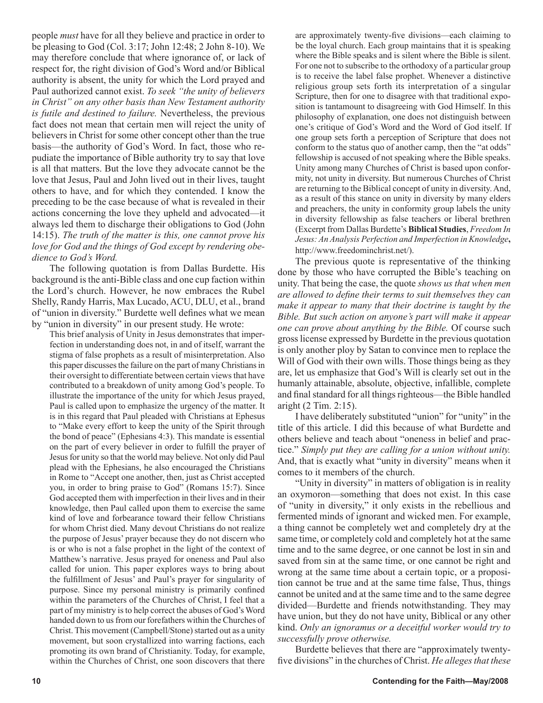people *must* have for all they believe and practice in order to be pleasing to God (Col. 3:17; John 12:48; 2 John 8-10). We may therefore conclude that where ignorance of, or lack of respect for, the right division of God's Word and/or Biblical authority is absent, the unity for which the Lord prayed and Paul authorized cannot exist. *To seek "the unity of believers in Christ" on any other basis than New Testament authority is futile and destined to failure.* Nevertheless, the previous fact does not mean that certain men will reject the unity of believers in Christ for some other concept other than the true basis—the authority of God's Word. In fact, those who repudiate the importance of Bible authority try to say that love is all that matters. But the love they advocate cannot be the love that Jesus, Paul and John lived out in their lives, taught others to have, and for which they contended. I know the preceding to be the case because of what is revealed in their actions concerning the love they upheld and advocated—it always led them to discharge their obligations to God (John 14:15). *The truth of the matter is this, one cannot prove his love for God and the things of God except by rendering obedience to God's Word.*

The following quotation is from Dallas Burdette. His background is the anti-Bible class and one cup faction within the Lord's church. However, he now embraces the Rubel Shelly, Randy Harris, Max Lucado, ACU, DLU, et al., brand of "union in diversity." Burdette well defines what we mean by "union in diversity" in our present study. He wrote:

This brief analysis of Unity in Jesus demonstrates that imperfection in understanding does not, in and of itself, warrant the stigma of false prophets as a result of misinterpretation. Also this paper discusses the failure on the part of many Christians in their oversight to differentiate between certain views that have contributed to a breakdown of unity among God's people. To illustrate the importance of the unity for which Jesus prayed, Paul is called upon to emphasize the urgency of the matter. It is in this regard that Paul pleaded with Christians at Ephesus to "Make every effort to keep the unity of the Spirit through the bond of peace" (Ephesians 4:3). This mandate is essential on the part of every believer in order to fulfill the prayer of Jesus for unity so that the world may believe. Not only did Paul plead with the Ephesians, he also encouraged the Christians in Rome to "Accept one another, then, just as Christ accepted you, in order to bring praise to God" (Romans 15:7). Since God accepted them with imperfection in their lives and in their knowledge, then Paul called upon them to exercise the same kind of love and forbearance toward their fellow Christians for whom Christ died. Many devout Christians do not realize the purpose of Jesus' prayer because they do not discern who is or who is not a false prophet in the light of the context of Matthew's narrative. Jesus prayed for oneness and Paul also called for union. This paper explores ways to bring about the fulfillment of Jesus' and Paul's prayer for singularity of purpose. Since my personal ministry is primarily confined within the parameters of the Churches of Christ, I feel that a part of my ministry is to help correct the abuses of God's Word handed down to us from our forefathers within the Churches of Christ. This movement (Campbell/Stone) started out as a unity movement, but soon crystallized into warring factions, each promoting its own brand of Christianity. Today, for example, within the Churches of Christ, one soon discovers that there are approximately twenty-five divisions—each claiming to be the loyal church. Each group maintains that it is speaking where the Bible speaks and is silent where the Bible is silent. For one not to subscribe to the orthodoxy of a particular group is to receive the label false prophet. Whenever a distinctive religious group sets forth its interpretation of a singular Scripture, then for one to disagree with that traditional exposition is tantamount to disagreeing with God Himself. In this philosophy of explanation, one does not distinguish between one's critique of God's Word and the Word of God itself. If one group sets forth a perception of Scripture that does not conform to the status quo of another camp, then the "at odds" fellowship is accused of not speaking where the Bible speaks. Unity among many Churches of Christ is based upon conformity, not unity in diversity. But numerous Churches of Christ are returning to the Biblical concept of unity in diversity. And, as a result of this stance on unity in diversity by many elders and preachers, the unity in conformity group labels the unity in diversity fellowship as false teachers or liberal brethren (Excerpt from Dallas Burdette's **Biblical Studies**, *Freedom In Jesus: An Analysis Perfection and Imperfection in Knowledge***,**  http://www.freedominchrist.net/).

The previous quote is representative of the thinking done by those who have corrupted the Bible's teaching on unity. That being the case, the quote *shows us that when men are allowed to define their terms to suit themselves they can make it appear to many that their doctrine is taught by the Bible. But such action on anyone's part will make it appear one can prove about anything by the Bible.* Of course such gross license expressed by Burdette in the previous quotation is only another ploy by Satan to convince men to replace the Will of God with their own wills. Those things being as they are, let us emphasize that God's Will is clearly set out in the humanly attainable, absolute, objective, infallible, complete and final standard for all things righteous—the Bible handled aright (2 Tim. 2:15).

I have deliberately substituted "union" for "unity" in the title of this article. I did this because of what Burdette and others believe and teach about "oneness in belief and practice." *Simply put they are calling for a union without unity.*  And, that is exactly what "unity in diversity" means when it comes to it members of the church.

"Unity in diversity" in matters of obligation is in reality an oxymoron—something that does not exist. In this case of "unity in diversity," it only exists in the rebellious and fermented minds of ignorant and wicked men. For example, a thing cannot be completely wet and completely dry at the same time, or completely cold and completely hot at the same time and to the same degree, or one cannot be lost in sin and saved from sin at the same time, or one cannot be right and wrong at the same time about a certain topic, or a proposition cannot be true and at the same time false, Thus, things cannot be united and at the same time and to the same degree divided—Burdette and friends notwithstanding. They may have union, but they do not have unity, Biblical or any other kind. *Only an ignoramus or a deceitful worker would try to successfully prove otherwise.*

Burdette believes that there are "approximately twentyfive divisions" in the churches of Christ. *He alleges that these*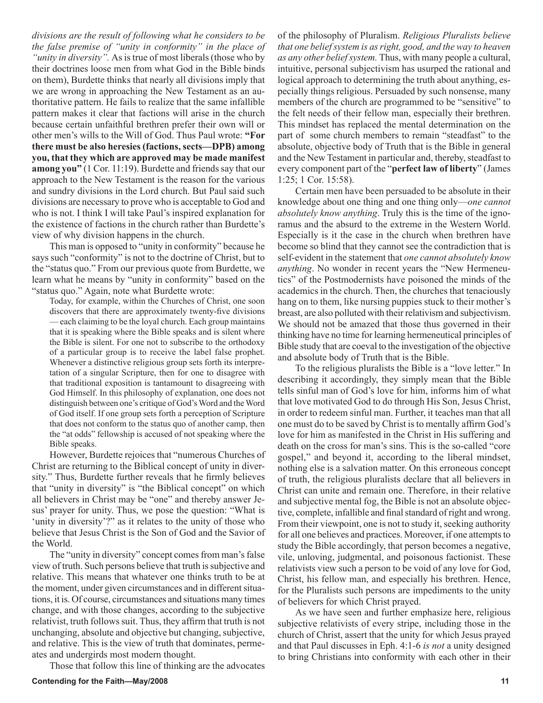*divisions are the result of following what he considers to be the false premise of "unity in conformity" in the place of "unity in diversity".* As is true of most liberals (those who by their doctrines loose men from what God in the Bible binds on them), Burdette thinks that nearly all divisions imply that we are wrong in approaching the New Testament as an authoritative pattern. He fails to realize that the same infallible pattern makes it clear that factions will arise in the church because certain unfaithful brethren prefer their own will or other men's wills to the Will of God. Thus Paul wrote: **"For there must be also heresies (factions, sects—DPB) among you, that they which are approved may be made manifest among you"** (1 Cor. 11:19). Burdette and friends say that our approach to the New Testament is the reason for the various and sundry divisions in the Lord church. But Paul said such divisions are necessary to prove who is acceptable to God and who is not. I think I will take Paul's inspired explanation for the existence of factions in the church rather than Burdette's view of why division happens in the church.

This man is opposed to "unity in conformity" because he says such "conformity" is not to the doctrine of Christ, but to the "status quo." From our previous quote from Burdette, we learn what he means by "unity in conformity" based on the "status quo." Again, note what Burdette wrote:

Today, for example, within the Churches of Christ, one soon discovers that there are approximately twenty-five divisions — each claiming to be the loyal church. Each group maintains that it is speaking where the Bible speaks and is silent where the Bible is silent. For one not to subscribe to the orthodoxy of a particular group is to receive the label false prophet. Whenever a distinctive religious group sets forth its interpretation of a singular Scripture, then for one to disagree with that traditional exposition is tantamount to disagreeing with God Himself. In this philosophy of explanation, one does not distinguish between one's critique of God's Word and the Word of God itself. If one group sets forth a perception of Scripture that does not conform to the status quo of another camp, then the "at odds" fellowship is accused of not speaking where the Bible speaks.

However, Burdette rejoices that "numerous Churches of Christ are returning to the Biblical concept of unity in diversity." Thus, Burdette further reveals that he firmly believes that "unity in diversity" is "the Biblical concept" on which all believers in Christ may be "one" and thereby answer Jesus' prayer for unity. Thus, we pose the question: "What is 'unity in diversity'?" as it relates to the unity of those who believe that Jesus Christ is the Son of God and the Savior of the World.

The "unity in diversity" concept comes from man's false view of truth. Such persons believe that truth is subjective and relative. This means that whatever one thinks truth to be at the moment, under given circumstances and in different situations, it is. Of course, circumstances and situations many times change, and with those changes, according to the subjective relativist, truth follows suit. Thus, they affirm that truth is not unchanging, absolute and objective but changing, subjective, and relative. This is the view of truth that dominates, permeates and undergirds most modern thought.

Those that follow this line of thinking are the advocates

of the philosophy of Pluralism. *Religious Pluralists believe that one belief system is as right, good, and the way to heaven as any other belief system.* Thus, with many people a cultural, intuitive, personal subjectivism has usurped the rational and logical approach to determining the truth about anything, especially things religious. Persuaded by such nonsense, many members of the church are programmed to be "sensitive" to the felt needs of their fellow man, especially their brethren. This mindset has replaced the mental determination on the part of some church members to remain "steadfast" to the absolute, objective body of Truth that is the Bible in general and the New Testament in particular and, thereby, steadfast to every component part of the "**perfect law of liberty**" (James 1:25; 1 Cor. 15:58).

Certain men have been persuaded to be absolute in their knowledge about one thing and one thing only—*one cannot absolutely know anything*. Truly this is the time of the ignoramus and the absurd to the extreme in the Western World. Especially is it the case in the church when brethren have become so blind that they cannot see the contradiction that is self-evident in the statement that *one cannot absolutely know anything*. No wonder in recent years the "New Hermeneutics" of the Postmodernists have poisoned the minds of the academics in the church. Then, the churches that tenaciously hang on to them, like nursing puppies stuck to their mother's breast, are also polluted with their relativism and subjectivism. We should not be amazed that those thus governed in their thinking have no time for learning hermeneutical principles of Bible study that are coeval to the investigation of the objective and absolute body of Truth that is the Bible.

To the religious pluralists the Bible is a "love letter." In describing it accordingly, they simply mean that the Bible tells sinful man of God's love for him, informs him of what that love motivated God to do through His Son, Jesus Christ, in order to redeem sinful man. Further, it teaches man that all one must do to be saved by Christ is to mentally affirm God's love for him as manifested in the Christ in His suffering and death on the cross for man's sins. This is the so-called "core gospel," and beyond it, according to the liberal mindset, nothing else is a salvation matter. On this erroneous concept of truth, the religious pluralists declare that all believers in Christ can unite and remain one. Therefore, in their relative and subjective mental fog, the Bible is not an absolute objective, complete, infallible and final standard of right and wrong. From their viewpoint, one is not to study it, seeking authority for all one believes and practices. Moreover, if one attempts to study the Bible accordingly, that person becomes a negative, vile, unloving, judgmental, and poisonous factionist. These relativists view such a person to be void of any love for God, Christ, his fellow man, and especially his brethren. Hence, for the Pluralists such persons are impediments to the unity of believers for which Christ prayed.

As we have seen and further emphasize here, religious subjective relativists of every stripe, including those in the church of Christ, assert that the unity for which Jesus prayed and that Paul discusses in Eph. 4:1-6 *is not* a unity designed to bring Christians into conformity with each other in their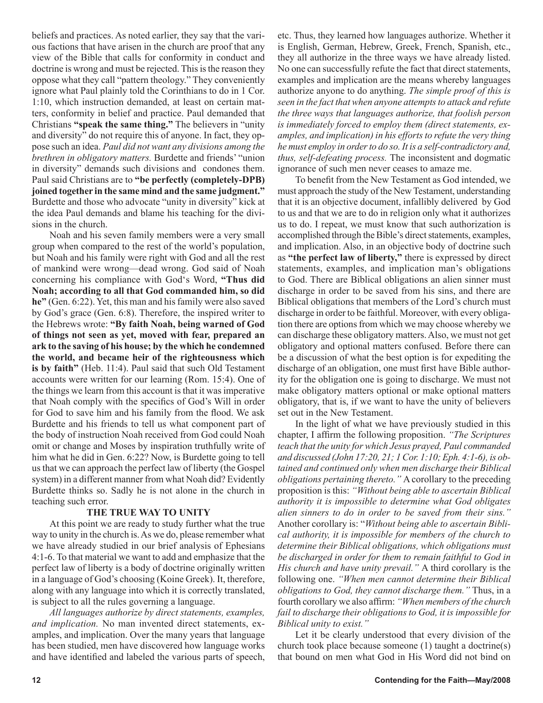beliefs and practices. As noted earlier, they say that the various factions that have arisen in the church are proof that any view of the Bible that calls for conformity in conduct and doctrine is wrong and must be rejected. This is the reason they oppose what they call "pattern theology." They conveniently ignore what Paul plainly told the Corinthians to do in 1 Cor. 1:10, which instruction demanded, at least on certain matters, conformity in belief and practice. Paul demanded that Christians **"speak the same thing."** The believers in "unity and diversity" do not require this of anyone. In fact, they oppose such an idea. *Paul did not want any divisions among the brethren in obligatory matters.* Burdette and friends' "union in diversity" demands such divisions and condones them. Paul said Christians are to **"be perfectly (completely-DPB) joined together in the same mind and the same judgment."** Burdette and those who advocate "unity in diversity" kick at the idea Paul demands and blame his teaching for the divisions in the church.

Noah and his seven family members were a very small group when compared to the rest of the world's population, but Noah and his family were right with God and all the rest of mankind were wrong—dead wrong. God said of Noah concerning his compliance with God's Word, **"Thus did Noah; according to all that God commanded him, so did he"** (Gen. 6:22). Yet, this man and his family were also saved by God's grace (Gen. 6:8). Therefore, the inspired writer to the Hebrews wrote: **"By faith Noah, being warned of God of things not seen as yet, moved with fear, prepared an ark to the saving of his house; by the which he condemned the world, and became heir of the righteousness which is by faith"** (Heb. 11:4). Paul said that such Old Testament accounts were written for our learning (Rom. 15:4). One of the things we learn from this account is that it was imperative that Noah comply with the specifics of God's Will in order for God to save him and his family from the flood. We ask Burdette and his friends to tell us what component part of the body of instruction Noah received from God could Noah omit or change and Moses by inspiration truthfully write of him what he did in Gen. 6:22? Now, is Burdette going to tell us that we can approach the perfect law of liberty (the Gospel system) in a different manner from what Noah did? Evidently Burdette thinks so. Sadly he is not alone in the church in teaching such error.

#### **THE TRUE WAY TO UNITY**

At this point we are ready to study further what the true way to unity in the church is. As we do, please remember what we have already studied in our brief analysis of Ephesians 4:1-6. To that material we want to add and emphasize that the perfect law of liberty is a body of doctrine originally written in a language of God's choosing (Koine Greek). It, therefore, along with any language into which it is correctly translated, is subject to all the rules governing a language.

*All languages authorize by direct statements, examples, and implication.* No man invented direct statements, examples, and implication. Over the many years that language has been studied, men have discovered how language works and have identified and labeled the various parts of speech, etc. Thus, they learned how languages authorize. Whether it is English, German, Hebrew, Greek, French, Spanish, etc., they all authorize in the three ways we have already listed. No one can successfully refute the fact that direct statements, examples and implication are the means whereby languages authorize anyone to do anything. *The simple proof of this is seen in the fact that when anyone attempts to attack and refute the three ways that languages authorize, that foolish person is immediately forced to employ them (direct statements, examples, and implication) in his efforts to refute the very thing he must employ in order to do so. It is a self-contradictory and, thus, self-defeating process.* The inconsistent and dogmatic ignorance of such men never ceases to amaze me.

To benefit from the New Testament as God intended, we must approach the study of the New Testament, understanding that it is an objective document, infallibly delivered by God to us and that we are to do in religion only what it authorizes us to do. I repeat, we must know that such authorization is accomplished through the Bible's direct statements, examples, and implication. Also, in an objective body of doctrine such as **"the perfect law of liberty,"** there is expressed by direct statements, examples, and implication man's obligations to God. There are Biblical obligations an alien sinner must discharge in order to be saved from his sins, and there are Biblical obligations that members of the Lord's church must discharge in order to be faithful. Moreover, with every obligation there are options from which we may choose whereby we can discharge these obligatory matters. Also, we must not get obligatory and optional matters confused. Before there can be a discussion of what the best option is for expediting the discharge of an obligation, one must first have Bible authority for the obligation one is going to discharge. We must not make obligatory matters optional or make optional matters obligatory, that is, if we want to have the unity of believers set out in the New Testament.

In the light of what we have previously studied in this chapter, I affirm the following proposition. *"The Scriptures teach that the unity for which Jesus prayed, Paul commanded and discussed (John 17:20, 21; 1 Cor. 1:10; Eph. 4:1-6), is obtained and continued only when men discharge their Biblical obligations pertaining thereto."* A corollary to the preceding proposition is this: *"Without being able to ascertain Biblical authority it is impossible to determine what God obligates alien sinners to do in order to be saved from their sins."*  Another corollary is: "*Without being able to ascertain Biblical authority, it is impossible for members of the church to determine their Biblical obligations, which obligations must be discharged in order for them to remain faithful to God in His church and have unity prevail."* A third corollary is the following one. *"When men cannot determine their Biblical obligations to God, they cannot discharge them."* Thus, in a fourth corollary we also affirm: *"When members of the church fail to discharge their obligations to God, it is impossible for Biblical unity to exist."* 

Let it be clearly understood that every division of the church took place because someone (1) taught a doctrine(s) that bound on men what God in His Word did not bind on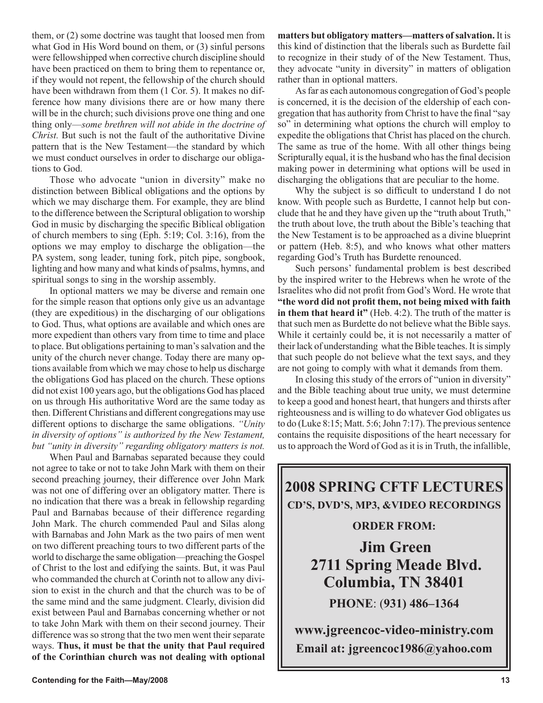them, or (2) some doctrine was taught that loosed men from what God in His Word bound on them, or (3) sinful persons were fellowshipped when corrective church discipline should have been practiced on them to bring them to repentance or, if they would not repent, the fellowship of the church should have been withdrawn from them  $(1 \text{ Cor. } 5)$ . It makes no difference how many divisions there are or how many there will be in the church; such divisions prove one thing and one thing only—*some brethren will not abide in the doctrine of Christ.* But such is not the fault of the authoritative Divine pattern that is the New Testament—the standard by which we must conduct ourselves in order to discharge our obligations to God.

Those who advocate "union in diversity" make no distinction between Biblical obligations and the options by which we may discharge them. For example, they are blind to the difference between the Scriptural obligation to worship God in music by discharging the specific Biblical obligation of church members to sing (Eph. 5:19; Col. 3:16), from the options we may employ to discharge the obligation—the PA system, song leader, tuning fork, pitch pipe, songbook, lighting and how many and what kinds of psalms, hymns, and spiritual songs to sing in the worship assembly.

In optional matters we may be diverse and remain one for the simple reason that options only give us an advantage (they are expeditious) in the discharging of our obligations to God. Thus, what options are available and which ones are more expedient than others vary from time to time and place to place. But obligations pertaining to man's salvation and the unity of the church never change. Today there are many options available from which we may chose to help us discharge the obligations God has placed on the church. These options did not exist 100 years ago, but the obligations God has placed on us through His authoritative Word are the same today as then. Different Christians and different congregations may use different options to discharge the same obligations. *"Unity in diversity of options" is authorized by the New Testament, but "unity in diversity" regarding obligatory matters is not.* 

When Paul and Barnabas separated because they could not agree to take or not to take John Mark with them on their second preaching journey, their difference over John Mark was not one of differing over an obligatory matter. There is no indication that there was a break in fellowship regarding Paul and Barnabas because of their difference regarding John Mark. The church commended Paul and Silas along with Barnabas and John Mark as the two pairs of men went on two different preaching tours to two different parts of the world to discharge the same obligation—preaching the Gospel of Christ to the lost and edifying the saints. But, it was Paul who commanded the church at Corinth not to allow any division to exist in the church and that the church was to be of the same mind and the same judgment. Clearly, division did exist between Paul and Barnabas concerning whether or not to take John Mark with them on their second journey. Their difference was so strong that the two men went their separate ways. **Thus, it must be that the unity that Paul required of the Corinthian church was not dealing with optional**  **matters but obligatory matters—matters of salvation.** It is this kind of distinction that the liberals such as Burdette fail to recognize in their study of of the New Testament. Thus, they advocate "unity in diversity" in matters of obligation rather than in optional matters.

As far as each autonomous congregation of God's people is concerned, it is the decision of the eldership of each congregation that has authority from Christ to have the final "say so" in determining what options the church will employ to expedite the obligations that Christ has placed on the church. The same as true of the home. With all other things being Scripturally equal, it is the husband who has the final decision making power in determining what options will be used in discharging the obligations that are peculiar to the home.

Why the subject is so difficult to understand I do not know. With people such as Burdette, I cannot help but conclude that he and they have given up the "truth about Truth," the truth about love, the truth about the Bible's teaching that the New Testament is to be approached as a divine blueprint or pattern (Heb. 8:5), and who knows what other matters regarding God's Truth has Burdette renounced.

Such persons' fundamental problem is best described by the inspired writer to the Hebrews when he wrote of the Israelites who did not profit from God's Word. He wrote that **"the word did not profit them, not being mixed with faith in them that heard it"** (Heb. 4:2). The truth of the matter is that such men as Burdette do not believe what the Bible says. While it certainly could be, it is not necessarily a matter of their lack of understanding what the Bible teaches. It is simply that such people do not believe what the text says, and they are not going to comply with what it demands from them.

In closing this study of the errors of "union in diversity" and the Bible teaching about true unity, we must determine to keep a good and honest heart, that hungers and thirsts after righteousness and is willing to do whatever God obligates us to do (Luke 8:15; Matt. 5:6; John 7:17). The previous sentence contains the requisite dispositions of the heart necessary for us to approach the Word of God as it is in Truth, the infallible,

**2008 SPRING CFTF LECTURES CD'S, DVD'S, MP3, &VIDEO RECORDINGS** 

#### **ORDER FROM:**

**Jim Green 2711 Spring Meade Blvd. Columbia, TN 38401 PHONE**: (**931) 486–1364**

**www.jgreencoc-video-ministry.com Email at: jgreencoc1986@yahoo.com**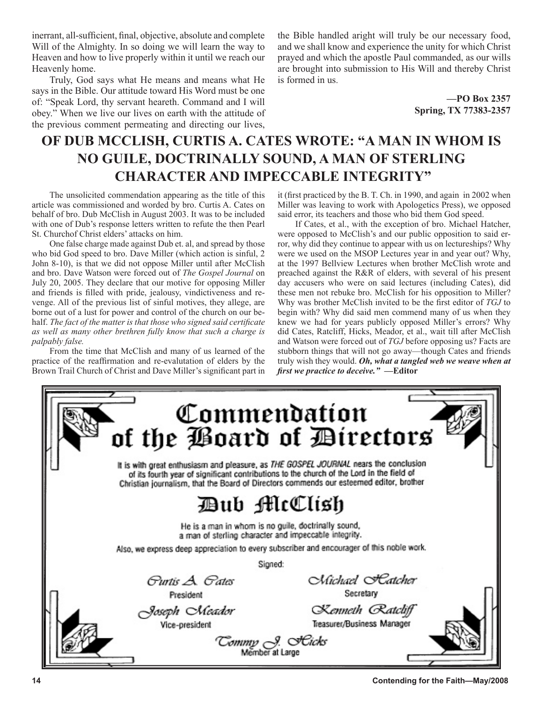inerrant, all-sufficient, final, objective, absolute and complete Will of the Almighty. In so doing we will learn the way to Heaven and how to live properly within it until we reach our Heavenly home.

Truly, God says what He means and means what He says in the Bible. Our attitude toward His Word must be one of: "Speak Lord, thy servant heareth. Command and I will obey." When we live our lives on earth with the attitude of the previous comment permeating and directing our lives, the Bible handled aright will truly be our necessary food, and we shall know and experience the unity for which Christ prayed and which the apostle Paul commanded, as our wills are brought into submission to His Will and thereby Christ is formed in us.

> **—PO Box 2357 Spring, TX 77383-2357**

## **OF DUB MCCLISH, CURTIS A. CATES WROTE: "A MAN IN WHOM IS NO GUILE, DOCTRINALLY SOUND, A MAN OF STERLING CHARACTER AND IMPECCABLE INTEGRITY"**

The unsolicited commendation appearing as the title of this article was commissioned and worded by bro. Curtis A. Cates on behalf of bro. Dub McClish in August 2003. It was to be included with one of Dub's response letters written to refute the then Pearl St. Churchof Christ elders' attacks on him.

One false charge made against Dub et. al, and spread by those who bid God speed to bro. Dave Miller (which action is sinful, 2 John 8-10), is that we did not oppose Miller until after McClish and bro. Dave Watson were forced out of *The Gospel Journal* on July 20, 2005. They declare that our motive for opposing Miller and friends is filled with pride, jealousy, vindictiveness and revenge. All of the previous list of sinful motives, they allege, are borne out of a lust for power and control of the church on our behalf. *The fact of the matter is that those who signed said certificate as well as many other brethren fully know that such a charge is palpably false.*

From the time that McClish and many of us learned of the practice of the reaffirmation and re-evalutation of elders by the Brown Trail Church of Christ and Dave Miller's significant part in it (first practiced by the B. T. Ch. in 1990, and again in 2002 when Miller was leaving to work with Apologetics Press), we opposed said error, its teachers and those who bid them God speed.

If Cates, et al., with the exception of bro. Michael Hatcher, were opposed to McClish's and our public opposition to said error, why did they continue to appear with us on lectureships? Why were we used on the MSOP Lectures year in and year out? Why, at the 1997 Bellview Lectures when brother McClish wrote and preached against the R&R of elders, with several of his present day accusers who were on said lectures (including Cates), did these men not rebuke bro. McClish for his opposition to Miller? Why was brother McClish invited to be the first editor of *TGJ* to begin with? Why did said men commend many of us when they knew we had for years publicly opposed Miller's errors? Why did Cates, Ratcliff, Hicks, Meador, et al., wait till after McClish and Watson were forced out of *TGJ* before opposing us? Facts are stubborn things that will not go away—though Cates and friends truly wish they would. *Oh, what a tangled web we weave when at first we practice to deceive."* **—Editor**

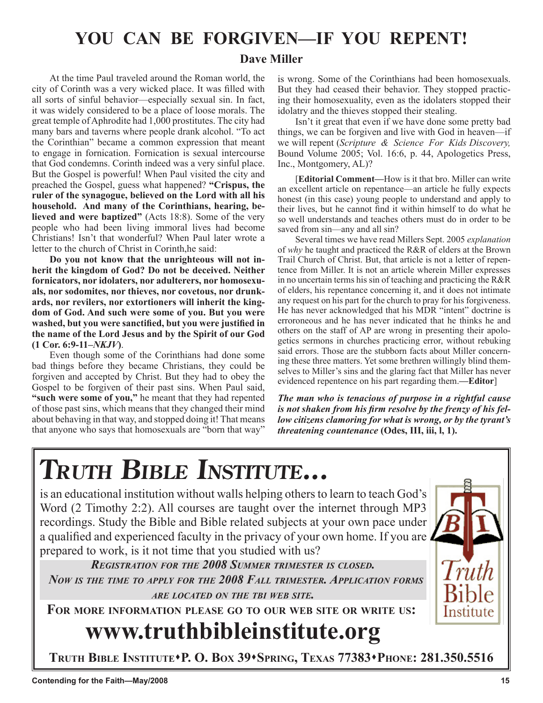## **YOU CAN BE FORGIVEN—IF YOU REPENT!**

**Terry M. Hightower**

#### **Dave Miller**

At the time Paul traveled around the Roman world, the city of Corinth was a very wicked place. It was filled with all sorts of sinful behavior—especially sexual sin. In fact, it was widely considered to be a place of loose morals. The great temple of Aphrodite had 1,000 prostitutes. The city had many bars and taverns where people drank alcohol. "To act the Corinthian" became a common expression that meant to engage in fornication. Fornication is sexual intercourse that God condemns. Corinth indeed was a very sinful place. But the Gospel is powerful! When Paul visited the city and preached the Gospel, guess what happened? **"Crispus, the ruler of the synagogue, believed on the Lord with all his household. And many of the Corinthians, hearing, believed and were baptized"** (Acts 18:8). Some of the very people who had been living immoral lives had become Christians! Isn't that wonderful? When Paul later wrote a letter to the church of Christ in Corinth,he said:

**Do you not know that the unrighteous will not inherit the kingdom of God? Do not be deceived. Neither fornicators, nor idolaters, nor adulterers, nor homosexuals, nor sodomites, nor thieves, nor covetous, nor drunkards, nor revilers, nor extortioners will inherit the kingdom of God. And such were some of you. But you were washed, but you were sanctified, but you were justified in the name of the Lord Jesus and by the Spirit of our God (1 Cor. 6:9-11–***NKJV***)**.

Even though some of the Corinthians had done some bad things before they became Christians, they could be forgiven and accepted by Christ. But they had to obey the Gospel to be forgiven of their past sins. When Paul said, **"such were some of you,"** he meant that they had repented of those past sins, which means that they changed their mind about behaving in that way, and stopped doing it! That means that anyone who says that homosexuals are "born that way"

is wrong. Some of the Corinthians had been homosexuals. But they had ceased their behavior. They stopped practicing their homosexuality, even as the idolaters stopped their idolatry and the thieves stopped their stealing.

**Paul Vaughn**

Isn't it great that even if we have done some pretty bad things, we can be forgiven and live with God in heaven—if we will repent (*Scripture & Science For Kids Discovery,* Bound Volume 2005; Vol. 16:6, p. 44, Apologetics Press, Inc., Montgomery, AL)?

[**Editorial Comment—**How is it that bro. Miller can write an excellent article on repentance—an article he fully expects honest (in this case) young people to understand and apply to their lives, but he cannot find it within himself to do what he so well understands and teaches others must do in order to be saved from sin—any and all sin?

Several times we have read Millers Sept. 2005 *explanation* of *why* he taught and practiced the R&R of elders at the Brown Trail Church of Christ. But, that article is not a letter of repentence from Miller. It is not an article wherein Miller expresses in no uncertain terms his sin of teaching and practicing the R&R of elders, his repentance concerning it, and it does not intimate any request on his part for the church to pray for his forgiveness. He has never acknowledged that his MDR "intent" doctrine is erroroneous and he has never indicated that he thinks he and others on the staff of AP are wrong in presenting their apologetics sermons in churches practicing error, without rebuking said errors. Those are the stubborn facts about Miller concerning these three matters. Yet some brethren willingly blind themselves to Miller's sins and the glaring fact that Miller has never evidenced repentence on his part regarding them.**—Editor**]

*The man who is tenacious of purpose in a rightful cause is not shaken from his firm resolve by the frenzy of his fellow citizens clamoring for what is wrong, or by the tyrant's threatening countenance* **(Odes, III, iii, l, 1).**

# **TRUTH BIBLE INSTITUTE...**

is an educational institution without walls helping others to learn to teach God's Word (2 Timothy 2:2). All courses are taught over the internet through MP3 recordings. Study the Bible and Bible related subjects at your own pace under a qualified and experienced faculty in the privacy of your own home. If you are prepared to work, is it not time that you studied with us?

*REGISTRATION FOR THE 2008 SUMMER TRIMESTER IS CLOSED. NOW IS THE TIME TO APPLY FOR THE 2008 FALL TRIMESTER. APPLICATION FORMS ARE LOCATED ON THE TBI WEB SITE.*

**FOR MORE INFORMATION PLEASE GO TO OUR WEB SITE OR WRITE US:**

# **www.truthbibleinstitute.org**

**TRUTH BIBLE INSTITUTEP. O. BOX 39SPRING, TEXAS 77383PHONE: 281.350.5516**

Institute